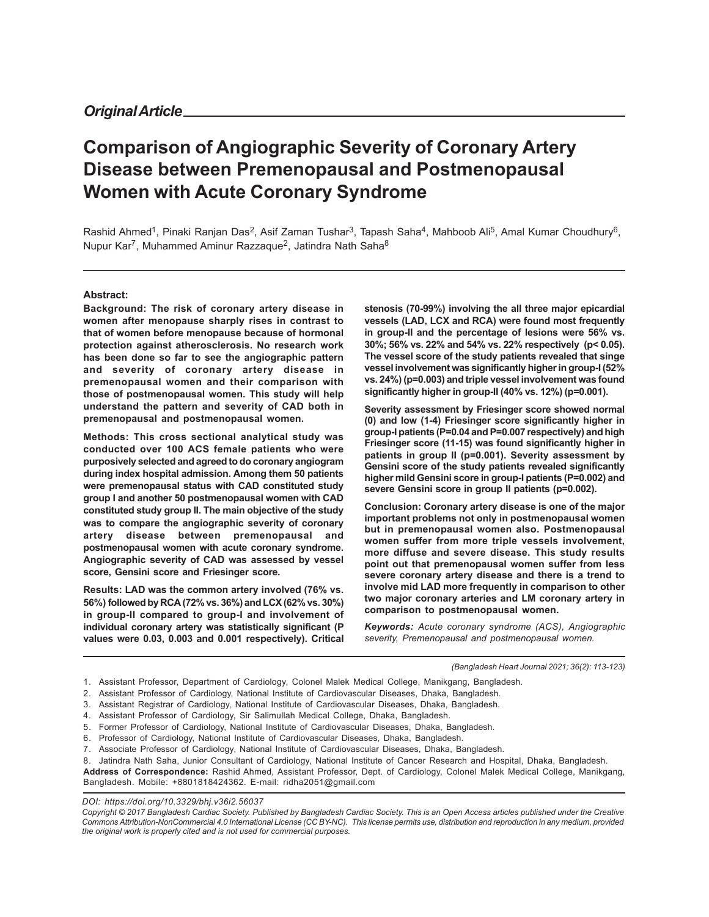# **Comparison of Angiographic Severity of Coronary Artery Disease between Premenopausal and Postmenopausal Women with Acute Coronary Syndrome**

Rashid Ahmed<sup>1</sup>, Pinaki Ranjan Das<sup>2</sup>, Asif Zaman Tushar<sup>3</sup>, Tapash Saha<sup>4</sup>, Mahboob Ali<sup>5</sup>, Amal Kumar Choudhury<sup>6</sup>, Nupur Kar<sup>7</sup>, Muhammed Aminur Razzaque<sup>2</sup>, Jatindra Nath Saha<sup>8</sup>

#### **Abstract:**

**Background: The risk of coronary artery disease in women after menopause sharply rises in contrast to that of women before menopause because of hormonal protection against atherosclerosis. No research work has been done so far to see the angiographic pattern and severity of coronary artery disease in premenopausal women and their comparison with those of postmenopausal women. This study will help understand the pattern and severity of CAD both in premenopausal and postmenopausal women.**

**Methods: This cross sectional analytical study was conducted over 100 ACS female patients who were purposively selected and agreed to do coronary angiogram during index hospital admission. Among them 50 patients were premenopausal status with CAD constituted study group I and another 50 postmenopausal women with CAD constituted study group II. The main objective of the study was to compare the angiographic severity of coronary artery disease between premenopausal and postmenopausal women with acute coronary syndrome. Angiographic severity of CAD was assessed by vessel score, Gensini score and Friesinger score.**

**Results: LAD was the common artery involved (76% vs. 56%) followed by RCA (72% vs. 36%) and LCX (62% vs. 30%) in group-II compared to group-I and involvement of individual coronary artery was statistically significant (P values were 0.03, 0.003 and 0.001 respectively). Critical** **stenosis (70-99%) involving the all three major epicardial vessels (LAD, LCX and RCA) were found most frequently in group-II and the percentage of lesions were 56% vs. 30%; 56% vs. 22% and 54% vs. 22% respectively (p< 0.05). The vessel score of the study patients revealed that singe vessel involvement was significantly higher in group-I (52% vs. 24%) (p=0.003) and triple vessel involvement was found significantly higher in group-II (40% vs. 12%) (p=0.001).**

**Severity assessment by Friesinger score showed normal (0) and low (1-4) Friesinger score significantly higher in group-I patients (P=0.04 and P=0.007 respectively) and high Friesinger score (11-15) was found significantly higher in patients in group II (p=0.001). Severity assessment by Gensini score of the study patients revealed significantly higher mild Gensini score in group-I patients (P=0.002) and severe Gensini score in group II patients (p=0.002).**

**Conclusion: Coronary artery disease is one of the major important problems not only in postmenopausal women but in premenopausal women also. Postmenopausal women suffer from more triple vessels involvement, more diffuse and severe disease. This study results point out that premenopausal women suffer from less severe coronary artery disease and there is a trend to involve mid LAD more frequently in comparison to other two major coronary arteries and LM coronary artery in comparison to postmenopausal women.**

*Keywords: Acute coronary syndrome (ACS), Angiographic severity, Premenopausal and postmenopausal women.*

*(Bangladesh Heart Journal 2021; 36(2): 113-123)*

- 1. Assistant Professor, Department of Cardiology, Colonel Malek Medical College, Manikgang, Bangladesh.
- 2. Assistant Professor of Cardiology, National Institute of Cardiovascular Diseases, Dhaka, Bangladesh.
- 3. Assistant Registrar of Cardiology, National Institute of Cardiovascular Diseases, Dhaka, Bangladesh.
- 4. Assistant Professor of Cardiology, Sir Salimullah Medical College, Dhaka, Bangladesh.
- 5. Former Professor of Cardiology, National Institute of Cardiovascular Diseases, Dhaka, Bangladesh.
- 6. Professor of Cardiology, National Institute of Cardiovascular Diseases, Dhaka, Bangladesh.

7. Associate Professor of Cardiology, National Institute of Cardiovascular Diseases, Dhaka, Bangladesh.

8. Jatindra Nath Saha, Junior Consultant of Cardiology, National Institute of Cancer Research and Hospital, Dhaka, Bangladesh.

**Address of Correspondence:** Rashid Ahmed, Assistant Professor, Dept. of Cardiology, Colonel Malek Medical College, Manikgang, Bangladesh. Mobile: +8801818424362. E-mail: ridha2051@gmail.com

*DOI: https://doi.org/10.3329/bhj.v36i2.56037*

*Copyright © 2017 Bangladesh Cardiac Society. Published by Bangladesh Cardiac Society. This is an Open Access articles published under the Creative Commons Attribution-NonCommercial 4.0 International License (CC BY-NC). This license permits use, distribution and reproduction in any medium, provided the original work is properly cited and is not used for commercial purposes.*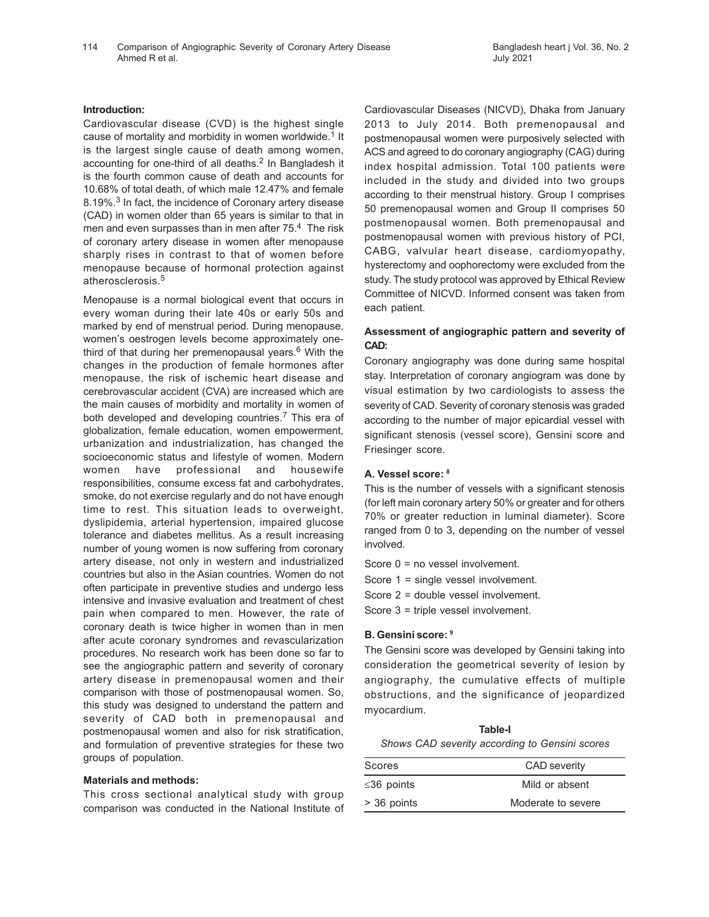### **Introduction:**

Cardiovascular disease (CVD) is the highest single cause of mortality and morbidity in women worldwide.<sup>1</sup> It is the largest single cause of death among women, accounting for one-third of all deaths.<sup>2</sup> In Bangladesh it is the fourth common cause of death and accounts for 10.68% of total death, of which male 12.47% and female 8.19%.<sup>3</sup> In fact, the incidence of Coronary artery disease (CAD) in women older than 65 years is similar to that in men and even surpasses than in men after 75.<sup>4</sup> The risk of coronary artery disease in women after menopause sharply rises in contrast to that of women before menopause because of hormonal protection against atherosclerosis.<sup>5</sup>

Menopause is a normal biological event that occurs in every woman during their late 40s or early 50s and marked by end of menstrual period. During menopause, women's oestrogen levels become approximately onethird of that during her premenopausal years.<sup>6</sup> With the changes in the production of female hormones after menopause, the risk of ischemic heart disease and cerebrovascular accident (CVA) are increased which are the main causes of morbidity and mortality in women of both developed and developing countries.<sup>7</sup> This era of globalization, female education, women empowerment, urbanization and industrialization, has changed the socioeconomic status and lifestyle of women. Modern women have professional and housewife responsibilities, consume excess fat and carbohydrates, smoke, do not exercise regularly and do not have enough time to rest. This situation leads to overweight, dyslipidemia, arterial hypertension, impaired glucose tolerance and diabetes mellitus. As a result increasing number of young women is now suffering from coronary artery disease, not only in western and industrialized countries but also in the Asian countries. Women do not often participate in preventive studies and undergo less intensive and invasive evaluation and treatment of chest pain when compared to men. However, the rate of coronary death is twice higher in women than in men after acute coronary syndromes and revascularization procedures. No research work has been done so far to see the angiographic pattern and severity of coronary artery disease in premenopausal women and their comparison with those of postmenopausal women. So, this study was designed to understand the pattern and severity of CAD both in premenopausal and postmenopausal women and also for risk stratification, and formulation of preventive strategies for these two groups of population.

### **Materials and methods:**

This cross sectional analytical study with group comparison was conducted in the National Institute of Cardiovascular Diseases (NICVD), Dhaka from January 2013 to July 2014. Both premenopausal and postmenopausal women were purposively selected with ACS and agreed to do coronary angiography (CAG) during index hospital admission. Total 100 patients were included in the study and divided into two groups according to their menstrual history. Group I comprises 50 premenopausal women and Group II comprises 50 postmenopausal women. Both premenopausal and postmenopausal women with previous history of PCI, CABG, valvular heart disease, cardiomyopathy, hysterectomy and oophorectomy were excluded from the study. The study protocol was approved by Ethical Review Committee of NICVD. Informed consent was taken from each patient.

# **Assessment of angiographic pattern and severity of CAD:**

Coronary angiography was done during same hospital stay. Interpretation of coronary angiogram was done by visual estimation by two cardiologists to assess the severity of CAD. Severity of coronary stenosis was graded according to the number of major epicardial vessel with significant stenosis (vessel score), Gensini score and Friesinger score.

### **A. Vessel score: <sup>8</sup>**

This is the number of vessels with a significant stenosis (for left main coronary artery 50% or greater and for others 70% or greater reduction in luminal diameter). Score ranged from 0 to 3, depending on the number of vessel involved.

- Score 0 = no vessel involvement.
- Score 1 = single vessel involvement.
- Score 2 = double vessel involvement.
- Score 3 = triple vessel involvement.

### **B. Gensini score: <sup>9</sup>**

The Gensini score was developed by Gensini taking into consideration the geometrical severity of lesion by angiography, the cumulative effects of multiple obstructions, and the significance of jeopardized myocardium.

**Table-I** *Shows CAD severity according to Gensini scores*

| Scores           | <b>CAD</b> severity |
|------------------|---------------------|
| $\leq$ 36 points | Mild or absent      |
| > 36 points      | Moderate to severe  |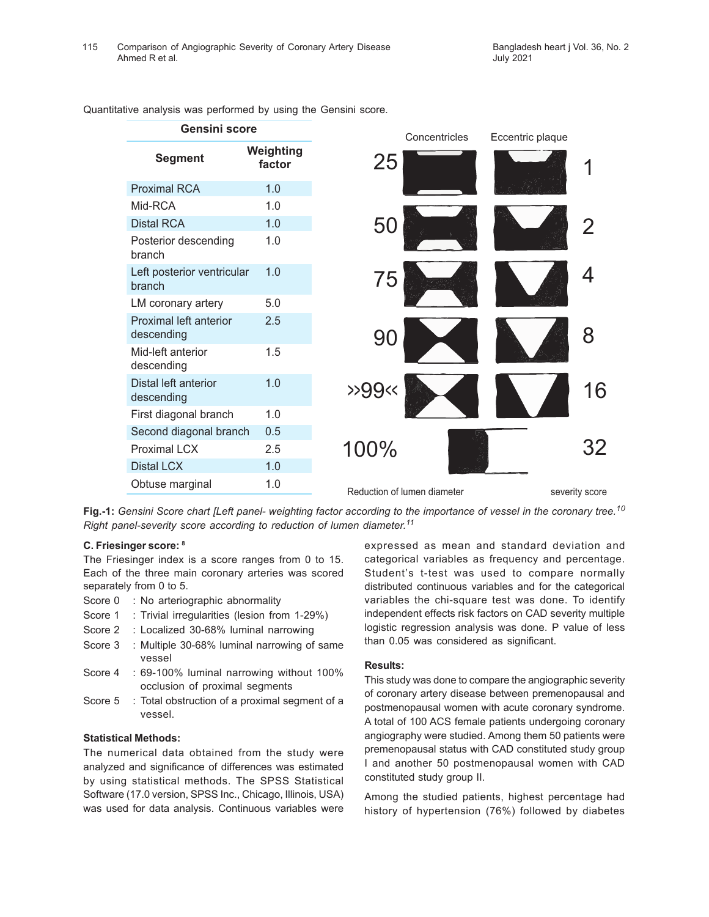| <b>Gensini score</b>                 |                     | Concentricles               | Eccentric plaque |
|--------------------------------------|---------------------|-----------------------------|------------------|
| <b>Segment</b>                       | Weighting<br>factor | 25                          |                  |
| <b>Proximal RCA</b>                  | 1.0                 |                             |                  |
| Mid-RCA                              | 1.0                 |                             |                  |
| <b>Distal RCA</b>                    | 1.0                 | 50                          |                  |
| Posterior descending<br>branch       | 1.0                 |                             |                  |
| Left posterior ventricular<br>branch | 1.0                 | 75                          |                  |
| LM coronary artery                   | 5.0                 |                             |                  |
| Proximal left anterior<br>descending | 2.5                 | 90                          | 8                |
| Mid-left anterior<br>descending      | 1.5                 |                             |                  |
| Distal left anterior<br>descending   | 1.0                 | >99                         | 16               |
| First diagonal branch                | 1.0                 |                             |                  |
| Second diagonal branch               | 0.5                 |                             |                  |
| <b>Proximal LCX</b>                  | 2.5                 | 100%                        | 32               |
| <b>Distal LCX</b>                    | 1.0                 |                             |                  |
| Obtuse marginal                      | 1.0                 | Reduction of lumen diameter | severity score   |
|                                      |                     |                             |                  |

Quantitative analysis was performed by using the Gensini score.

**Fig.-1:** *Gensini Score chart [Left panel- weighting factor according to the importance of vessel in the coronary tree.<sup>10</sup> Right panel-severity score according to reduction of lumen diameter. 11*

### **C. Friesinger score: <sup>8</sup>**

The Friesinger index is a score ranges from 0 to 15. Each of the three main coronary arteries was scored separately from 0 to 5.

- Score 0 : No arteriographic abnormality
- Score 1 : Trivial irregularities (lesion from 1-29%)
- Score 2 : Localized 30-68% luminal narrowing
- Score 3 : Multiple 30-68% luminal narrowing of same vessel
- Score 4 : 69-100% luminal narrowing without 100% occlusion of proximal segments
- Score 5 : Total obstruction of a proximal segment of a vessel.

# **Statistical Methods:**

The numerical data obtained from the study were analyzed and significance of differences was estimated by using statistical methods. The SPSS Statistical Software (17.0 version, SPSS Inc., Chicago, Illinois, USA) was used for data analysis. Continuous variables were

expressed as mean and standard deviation and categorical variables as frequency and percentage. Student's t-test was used to compare normally distributed continuous variables and for the categorical variables the chi-square test was done. To identify independent effects risk factors on CAD severity multiple logistic regression analysis was done. P value of less than 0.05 was considered as significant.

### **Results:**

This study was done to compare the angiographic severity of coronary artery disease between premenopausal and postmenopausal women with acute coronary syndrome. A total of 100 ACS female patients undergoing coronary angiography were studied. Among them 50 patients were premenopausal status with CAD constituted study group I and another 50 postmenopausal women with CAD constituted study group II.

Among the studied patients, highest percentage had history of hypertension (76%) followed by diabetes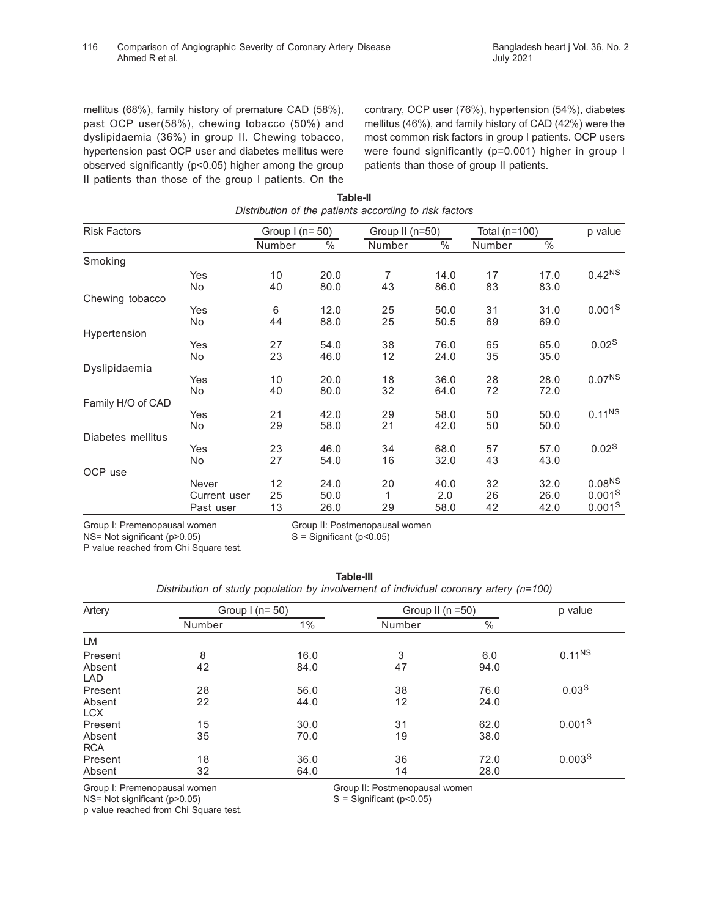mellitus (68%), family history of premature CAD (58%), past OCP user(58%), chewing tobacco (50%) and dyslipidaemia (36%) in group II. Chewing tobacco, hypertension past OCP user and diabetes mellitus were observed significantly (p<0.05) higher among the group II patients than those of the group I patients. On the contrary, OCP user (76%), hypertension (54%), diabetes mellitus (46%), and family history of CAD (42%) were the most common risk factors in group I patients. OCP users were found significantly (p=0.001) higher in group I patients than those of group II patients.

| <b>Risk Factors</b> |                       | Group $I(n=50)$ |               | Group II (n=50) |               | Total (n=100) |                 | p value                                  |
|---------------------|-----------------------|-----------------|---------------|-----------------|---------------|---------------|-----------------|------------------------------------------|
|                     |                       | Number          | $\frac{0}{6}$ | Number          | $\frac{0}{6}$ | Number        | $\overline{\%}$ |                                          |
| Smoking             |                       |                 |               |                 |               |               |                 |                                          |
|                     | Yes<br>No             | 10<br>40        | 20.0<br>80.0  | 7<br>43         | 14.0<br>86.0  | 17<br>83      | 17.0<br>83.0    | $0.42^{NS}$                              |
| Chewing tobacco     |                       |                 |               |                 |               |               |                 |                                          |
|                     | Yes<br>No.            | 6<br>44         | 12.0<br>88.0  | 25<br>25        | 50.0<br>50.5  | 31<br>69      | 31.0<br>69.0    | 0.001 <sup>S</sup>                       |
| Hypertension        |                       |                 |               |                 |               |               |                 |                                          |
|                     | Yes<br>No             | 27<br>23        | 54.0<br>46.0  | 38<br>12        | 76.0<br>24.0  | 65<br>35      | 65.0<br>35.0    | 0.02 <sup>S</sup>                        |
| Dyslipidaemia       |                       |                 |               |                 |               |               |                 |                                          |
|                     | Yes<br>No             | 10<br>40        | 20.0<br>80.0  | 18<br>32        | 36.0<br>64.0  | 28<br>72      | 28.0<br>72.0    | 0.07 <sup>NS</sup>                       |
| Family H/O of CAD   |                       |                 |               |                 |               |               |                 |                                          |
|                     | Yes<br>No             | 21<br>29        | 42.0<br>58.0  | 29<br>21        | 58.0<br>42.0  | 50<br>50      | 50.0<br>50.0    | $0.11^{NS}$                              |
| Diabetes mellitus   |                       |                 |               |                 |               |               |                 |                                          |
|                     | Yes<br>No             | 23<br>27        | 46.0<br>54.0  | 34<br>16        | 68.0<br>32.0  | 57<br>43      | 57.0<br>43.0    | 0.02 <sup>S</sup>                        |
| OCP use             |                       |                 |               |                 |               |               |                 |                                          |
|                     | Never<br>Current user | 12<br>25        | 24.0<br>50.0  | 20              | 40.0<br>2.0   | 32<br>26      | 32.0<br>26.0    | 0.08 <sup>NS</sup><br>0.001 <sup>S</sup> |
|                     | Past user             | 13              | 26.0          | 29              | 58.0          | 42            | 42.0            | 0.001 <sup>S</sup>                       |

**Table-II**

Group I: Premenopausal women Group II: Postmenopausal women  $NS= Not significant (p > 0.05)$   $S = Significant (p < 0.05)$ 

P value reached from Chi Square test.

| Table-III                                                                             |  |
|---------------------------------------------------------------------------------------|--|
| Distribution of study population by involvement of individual coronary artery (n=100) |  |

| Artery               | Group $1$ (n= 50) |       |        | Group II ( $n = 50$ ) |                    |  |
|----------------------|-------------------|-------|--------|-----------------------|--------------------|--|
|                      | Number            | $1\%$ | Number | $\%$                  |                    |  |
| LM                   |                   |       |        |                       |                    |  |
| Present              | 8                 | 16.0  | 3      | 6.0                   | $0.11^{NS}$        |  |
| Absent<br><b>LAD</b> | 42                | 84.0  | 47     | 94.0                  |                    |  |
| Present              | 28                | 56.0  | 38     | 76.0                  | 0.03 <sup>S</sup>  |  |
| Absent<br><b>LCX</b> | 22                | 44.0  | 12     | 24.0                  |                    |  |
| Present              | 15                | 30.0  | 31     | 62.0                  | 0.001 <sup>S</sup> |  |
| Absent<br><b>RCA</b> | 35                | 70.0  | 19     | 38.0                  |                    |  |
| Present              | 18                | 36.0  | 36     | 72.0                  | 0.003 <sup>S</sup> |  |
| Absent               | 32                | 64.0  | 14     | 28.0                  |                    |  |

 $NS= Not$  significant (p $>0.05$ ) p value reached from Chi Square test.

Group I: Premenopausal women Group II: Postmenopausal women NS= Not significant (p>0.05) Group II: Postmenopausal women NS= Not significant (p>0.05)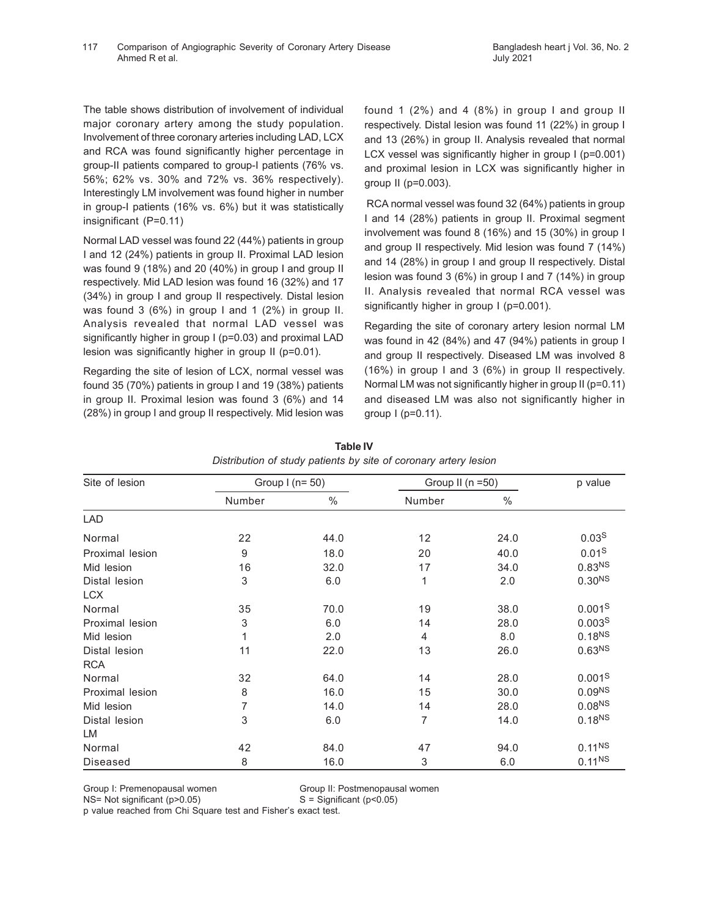The table shows distribution of involvement of individual major coronary artery among the study population. Involvement of three coronary arteries including LAD, LCX and RCA was found significantly higher percentage in group-II patients compared to group-I patients (76% vs. 56%; 62% vs. 30% and 72% vs. 36% respectively). Interestingly LM involvement was found higher in number in group-I patients (16% vs. 6%) but it was statistically insignificant (P=0.11)

Normal LAD vessel was found 22 (44%) patients in group I and 12 (24%) patients in group II. Proximal LAD lesion was found 9 (18%) and 20 (40%) in group I and group II respectively. Mid LAD lesion was found 16 (32%) and 17 (34%) in group I and group II respectively. Distal lesion was found 3 (6%) in group I and 1 (2%) in group II. Analysis revealed that normal LAD vessel was significantly higher in group I (p=0.03) and proximal LAD lesion was significantly higher in group II (p=0.01).

Regarding the site of lesion of LCX, normal vessel was found 35 (70%) patients in group I and 19 (38%) patients in group II. Proximal lesion was found 3 (6%) and 14 (28%) in group I and group II respectively. Mid lesion was

found 1  $(2\%)$  and 4  $(8\%)$  in group I and group II respectively. Distal lesion was found 11 (22%) in group I and 13 (26%) in group II. Analysis revealed that normal LCX vessel was significantly higher in group I (p=0.001) and proximal lesion in LCX was significantly higher in group II (p=0.003).

 RCA normal vessel was found 32 (64%) patients in group I and 14 (28%) patients in group II. Proximal segment involvement was found 8 (16%) and 15 (30%) in group I and group II respectively. Mid lesion was found 7 (14%) and 14 (28%) in group I and group II respectively. Distal lesion was found 3 (6%) in group I and 7 (14%) in group II. Analysis revealed that normal RCA vessel was significantly higher in group I (p=0.001).

Regarding the site of coronary artery lesion normal LM was found in 42 (84%) and 47 (94%) patients in group I and group II respectively. Diseased LM was involved 8 (16%) in group I and 3 (6%) in group II respectively. Normal LM was not significantly higher in group II (p=0.11) and diseased LM was also not significantly higher in group I (p=0.11).

| Site of lesion  | Group $I(n=50)$  |      | Group II (n =50) |      | p value            |
|-----------------|------------------|------|------------------|------|--------------------|
|                 | Number           | $\%$ | Number           | $\%$ |                    |
| <b>LAD</b>      |                  |      |                  |      |                    |
| Normal          | 22               | 44.0 | 12               | 24.0 | 0.03 <sup>S</sup>  |
| Proximal lesion | $\boldsymbol{9}$ | 18.0 | 20               | 40.0 | 0.01 <sup>S</sup>  |
| Mid lesion      | 16               | 32.0 | 17               | 34.0 | 0.83 <sup>NS</sup> |
| Distal lesion   | 3                | 6.0  | 1                | 2.0  | 0.30 <sup>NS</sup> |
| <b>LCX</b>      |                  |      |                  |      |                    |
| Normal          | 35               | 70.0 | 19               | 38.0 | 0.001 <sup>S</sup> |
| Proximal lesion | 3                | 6.0  | 14               | 28.0 | 0.003 <sup>S</sup> |
| Mid lesion      | 1                | 2.0  | 4                | 8.0  | 0.18 <sup>NS</sup> |
| Distal lesion   | 11               | 22.0 | 13               | 26.0 | 0.63 <sup>NS</sup> |
| <b>RCA</b>      |                  |      |                  |      |                    |
| Normal          | 32               | 64.0 | 14               | 28.0 | 0.001 <sup>S</sup> |
| Proximal lesion | 8                | 16.0 | 15               | 30.0 | 0.09 <sup>NS</sup> |
| Mid lesion      | 7                | 14.0 | 14               | 28.0 | 0.08 <sup>NS</sup> |
| Distal lesion   | 3                | 6.0  | 7                | 14.0 | 0.18 <sup>NS</sup> |
| LM              |                  |      |                  |      |                    |
| Normal          | 42               | 84.0 | 47               | 94.0 | $0.11^{NS}$        |
| Diseased        | 8                | 16.0 | 3                | 6.0  | $0.11^{NS}$        |

**Table IV** *Distribution of study patients by site of coronary artery lesion*

Group I: Premenopausal women Group II: Postmenopausal women

 $NS=$  Not significant ( $p>0.05$ )  $S =$  Significant ( $p<0.05$ )

p value reached from Chi Square test and Fisher's exact test.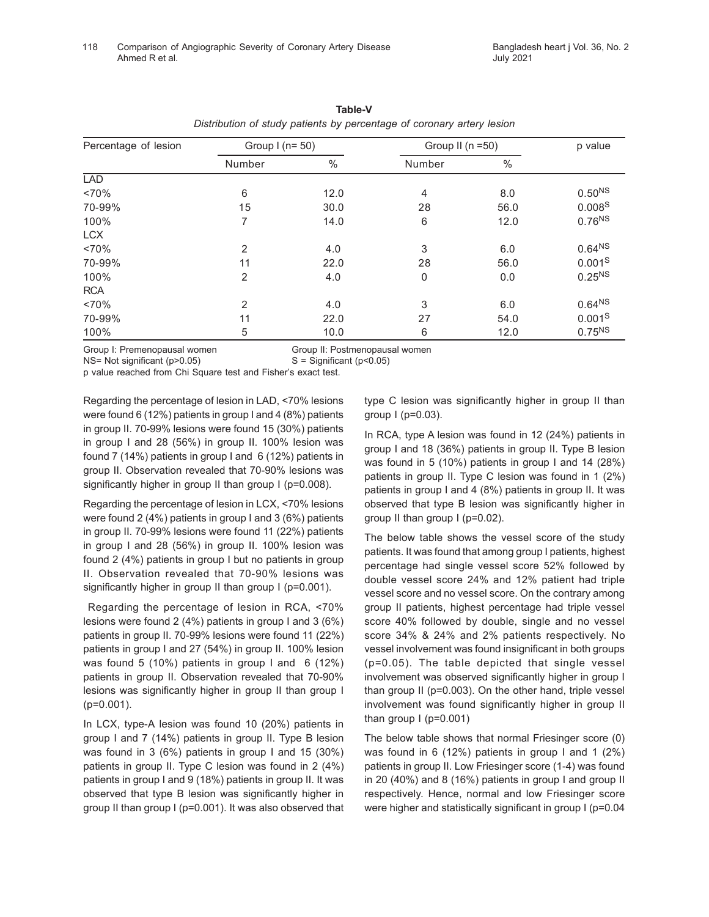| Percentage of lesion | Group $1$ (n= 50) |      |                | Group II ( $n = 50$ ) |                    |  |
|----------------------|-------------------|------|----------------|-----------------------|--------------------|--|
|                      | Number            | $\%$ | Number         | $\%$                  |                    |  |
| <b>LAD</b>           |                   |      |                |                       |                    |  |
| ~170%                | 6                 | 12.0 | $\overline{4}$ | 8.0                   | $0.50^{NS}$        |  |
| 70-99%               | 15                | 30.0 | 28             | 56.0                  | 0.008 <sup>S</sup> |  |
| 100%                 | 7                 | 14.0 | 6              | 12.0                  | 0.76 <sup>NS</sup> |  |
| <b>LCX</b>           |                   |      |                |                       |                    |  |
| ~1470%               | $\overline{2}$    | 4.0  | 3              | 6.0                   | $0.64^{NS}$        |  |
| 70-99%               | 11                | 22.0 | 28             | 56.0                  | 0.001 <sup>S</sup> |  |
| 100%                 | $\overline{2}$    | 4.0  | 0              | 0.0                   | $0.25^{NS}$        |  |
| <b>RCA</b>           |                   |      |                |                       |                    |  |
| ~170%                | $\overline{2}$    | 4.0  | 3              | 6.0                   | 0.64 <sup>NS</sup> |  |
| 70-99%               | 11                | 22.0 | 27             | 54.0                  | 0.001 <sup>S</sup> |  |
| 100%                 | 5                 | 10.0 | 6              | 12.0                  | $0.75^{NS}$        |  |

| Table-V                                                                |  |  |  |  |  |  |  |
|------------------------------------------------------------------------|--|--|--|--|--|--|--|
| Distribution of study patients by percentage of coronary artery lesion |  |  |  |  |  |  |  |

Group I: Premenopausal women Group II: Postmenopausal women

 $NS= Not significant (p>0.05)$   $S = Significant (p<0.05)$ 

p value reached from Chi Square test and Fisher's exact test.

Regarding the percentage of lesion in LAD, <70% lesions were found 6 (12%) patients in group I and 4 (8%) patients in group II. 70-99% lesions were found 15 (30%) patients in group I and 28 (56%) in group II. 100% lesion was found 7 (14%) patients in group I and 6 (12%) patients in group II. Observation revealed that 70-90% lesions was significantly higher in group II than group I (p=0.008).

Regarding the percentage of lesion in LCX, <70% lesions were found 2 (4%) patients in group I and 3 (6%) patients in group II. 70-99% lesions were found 11 (22%) patients in group I and 28 (56%) in group II. 100% lesion was found 2 (4%) patients in group I but no patients in group II. Observation revealed that 70-90% lesions was significantly higher in group II than group I (p=0.001).

 Regarding the percentage of lesion in RCA, <70% lesions were found 2 (4%) patients in group I and 3 (6%) patients in group II. 70-99% lesions were found 11 (22%) patients in group I and 27 (54%) in group II. 100% lesion was found 5 (10%) patients in group I and 6 (12%) patients in group II. Observation revealed that 70-90% lesions was significantly higher in group II than group I (p=0.001).

In LCX, type-A lesion was found 10 (20%) patients in group I and 7 (14%) patients in group II. Type B lesion was found in 3 (6%) patients in group I and 15 (30%) patients in group II. Type C lesion was found in 2 (4%) patients in group I and 9 (18%) patients in group II. It was observed that type B lesion was significantly higher in group II than group I (p=0.001). It was also observed that

type C lesion was significantly higher in group II than group I (p=0.03).

In RCA, type A lesion was found in 12 (24%) patients in group I and 18 (36%) patients in group II. Type B lesion was found in 5 (10%) patients in group I and 14 (28%) patients in group II. Type C lesion was found in 1 (2%) patients in group I and 4 (8%) patients in group II. It was observed that type B lesion was significantly higher in group II than group I (p=0.02).

The below table shows the vessel score of the study patients. It was found that among group I patients, highest percentage had single vessel score 52% followed by double vessel score 24% and 12% patient had triple vessel score and no vessel score. On the contrary among group II patients, highest percentage had triple vessel score 40% followed by double, single and no vessel score 34% & 24% and 2% patients respectively. No vessel involvement was found insignificant in both groups (p=0.05). The table depicted that single vessel involvement was observed significantly higher in group I than group II (p=0.003). On the other hand, triple vessel involvement was found significantly higher in group II than group I (p=0.001)

The below table shows that normal Friesinger score (0) was found in 6 (12%) patients in group I and 1 (2%) patients in group II. Low Friesinger score (1-4) was found in 20 (40%) and 8 (16%) patients in group I and group II respectively. Hence, normal and low Friesinger score were higher and statistically significant in group I (p=0.04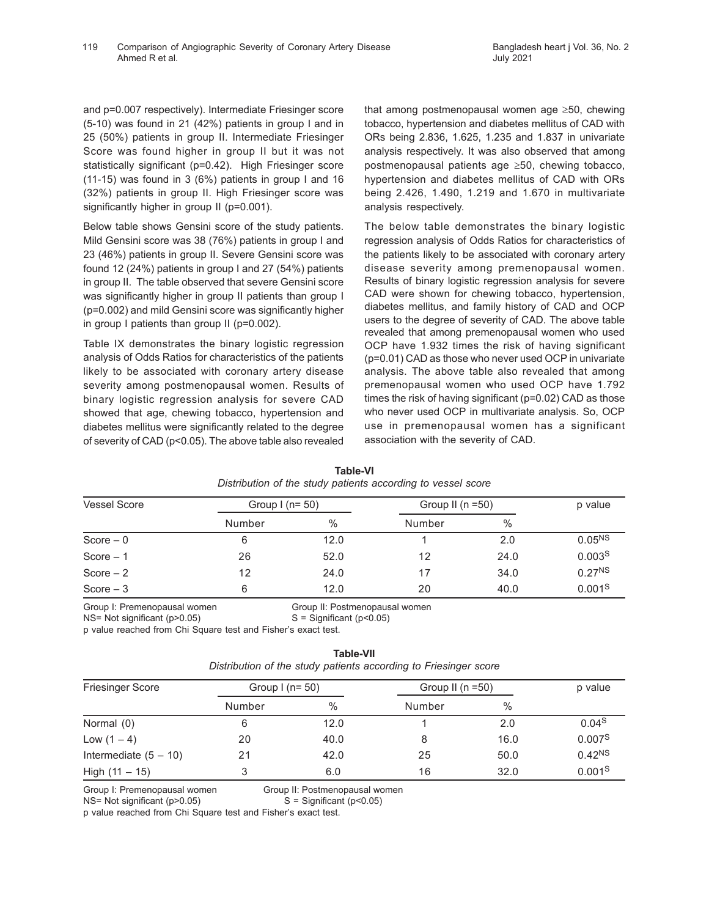and p=0.007 respectively). Intermediate Friesinger score (5-10) was found in 21 (42%) patients in group I and in 25 (50%) patients in group II. Intermediate Friesinger Score was found higher in group II but it was not statistically significant (p=0.42). High Friesinger score (11-15) was found in 3 (6%) patients in group I and 16 (32%) patients in group II. High Friesinger score was significantly higher in group II (p=0.001).

Below table shows Gensini score of the study patients. Mild Gensini score was 38 (76%) patients in group I and 23 (46%) patients in group II. Severe Gensini score was found 12 (24%) patients in group I and 27 (54%) patients in group II. The table observed that severe Gensini score was significantly higher in group II patients than group I (p=0.002) and mild Gensini score was significantly higher in group I patients than group II (p=0.002).

Table IX demonstrates the binary logistic regression analysis of Odds Ratios for characteristics of the patients likely to be associated with coronary artery disease severity among postmenopausal women. Results of binary logistic regression analysis for severe CAD showed that age, chewing tobacco, hypertension and diabetes mellitus were significantly related to the degree of severity of CAD (p<0.05). The above table also revealed

that among postmenopausal women age ≥50, chewing tobacco, hypertension and diabetes mellitus of CAD with ORs being 2.836, 1.625, 1.235 and 1.837 in univariate analysis respectively. It was also observed that among postmenopausal patients age ≥50, chewing tobacco, hypertension and diabetes mellitus of CAD with ORs being 2.426, 1.490, 1.219 and 1.670 in multivariate analysis respectively.

The below table demonstrates the binary logistic regression analysis of Odds Ratios for characteristics of the patients likely to be associated with coronary artery disease severity among premenopausal women. Results of binary logistic regression analysis for severe CAD were shown for chewing tobacco, hypertension, diabetes mellitus, and family history of CAD and OCP users to the degree of severity of CAD. The above table revealed that among premenopausal women who used OCP have 1.932 times the risk of having significant (p=0.01) CAD as those who never used OCP in univariate analysis. The above table also revealed that among premenopausal women who used OCP have 1.792 times the risk of having significant (p=0.02) CAD as those who never used OCP in multivariate analysis. So, OCP use in premenopausal women has a significant association with the severity of CAD.

| <b>Vessel Score</b> | Group $1$ (n= 50) |      | Group II ( $n = 50$ ) | p value |                    |
|---------------------|-------------------|------|-----------------------|---------|--------------------|
|                     | Number            | $\%$ | Number                | $\%$    |                    |
| $Score - 0$         | 6                 | 12.0 |                       | 2.0     | $0.05^{NS}$        |
| Score $-1$          | 26                | 52.0 | 12                    | 24.0    | 0.003 <sup>S</sup> |
| Score $-2$          | 12                | 24.0 |                       | 34.0    | $0.27^{NS}$        |
| $Score-3$           | 6                 | 12.0 | 20                    | 40.0    | 0.001 <sup>S</sup> |

**Table-VI** *Distribution of the study patients according to vessel score*

Group I: Premenopausal women Group II: Postmenopausal women

 $NS= Not significant (p>0.05)$   $S = Significant (p<0.05)$ 

p value reached from Chi Square test and Fisher's exact test.

# **Table-VII**

| Distribution of the study patients according to Friesinger score |  |  |  |  |  |  |  |
|------------------------------------------------------------------|--|--|--|--|--|--|--|
|------------------------------------------------------------------|--|--|--|--|--|--|--|

| <b>Friesinger Score</b> | Group $1$ (n= 50) |      | Group II ( $n = 50$ ) | p value |                    |
|-------------------------|-------------------|------|-----------------------|---------|--------------------|
|                         | Number            | $\%$ | Number                | $\%$    |                    |
| Normal (0)              | 6                 | 12.0 |                       | 2.0     | 0.04 <sup>S</sup>  |
| Low $(1 - 4)$           | 20                | 40.0 |                       | 16.0    | 0.007 <sup>S</sup> |
| Intermediate $(5 - 10)$ | 21                | 42.0 | 25                    | 50.0    | 0.42 <sup>NS</sup> |
| High $(11 - 15)$        | 3                 | 6.0  | 16                    | 32.0    | 0.001 <sup>S</sup> |

Group I: Premenopausal women Group II: Postmenopausal women

 $NS= Not significant (p>0.05)$   $S = Significant (p<0.05)$ 

p value reached from Chi Square test and Fisher's exact test.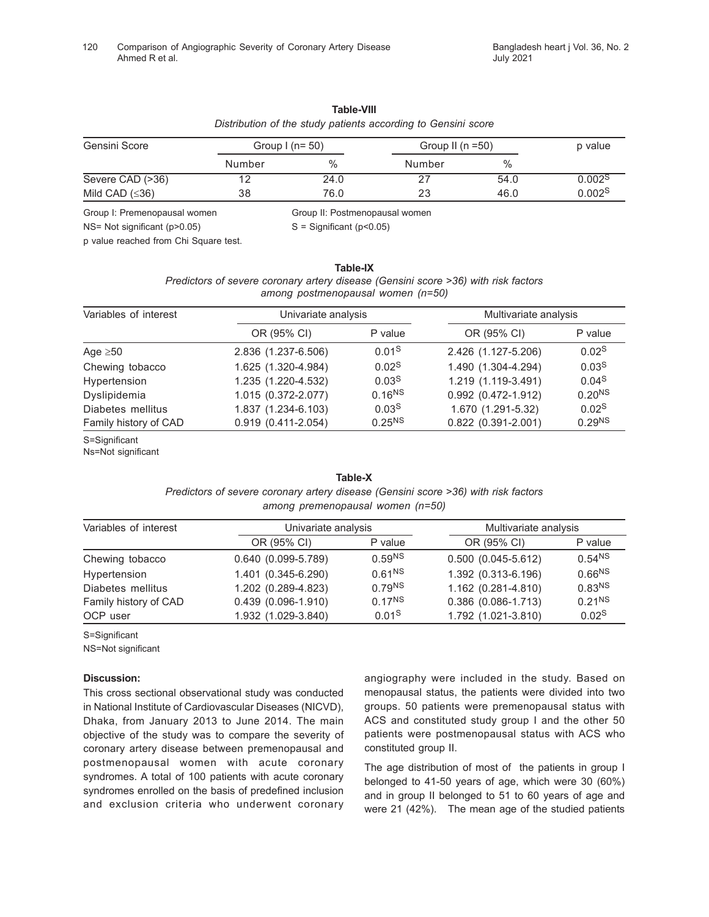### **Table-VIII**

# *Distribution of the study patients according to Gensini score*

| Gensini Score        | Group $1(n=50)$ |      | Group II ( $n = 50$ ) | p value |                    |
|----------------------|-----------------|------|-----------------------|---------|--------------------|
|                      | Number          | $\%$ | Number                | $\%$    |                    |
| Severe CAD (>36)     | 12              | 24.0 |                       | 54.0    | 0.002 <sup>S</sup> |
| Mild CAD $(\leq 36)$ | 38              | 76.0 | 23                    | 46.0    | 0.002 <sup>S</sup> |

Group I: Premenopausal women Group II: Postmenopausal women

 $NS= Not significant (p>0.05)$   $S = Significant (p<0.05)$ 

p value reached from Chi Square test.

**Table-IX** *Predictors of severe coronary artery disease (Gensini score >36) with risk factors among postmenopausal women (n=50)*

| Univariate analysis    |                    | Multivariate analysis |                    |
|------------------------|--------------------|-----------------------|--------------------|
| OR (95% CI)            | P value            | OR (95% CI)           | P value            |
| 2.836 (1.237-6.506)    | 0.01 <sup>S</sup>  | 2.426 (1.127-5.206)   | 0.02 <sup>S</sup>  |
| 1.625 (1.320-4.984)    | 0.02 <sup>S</sup>  | 1.490 (1.304-4.294)   | 0.03 <sup>S</sup>  |
| 1.235 (1.220-4.532)    | 0.03 <sup>S</sup>  | 1.219 (1.119-3.491)   | 0.04S              |
| 1.015 (0.372-2.077)    | 0.16 <sup>NS</sup> | $0.992$ (0.472-1.912) | 0.20 <sup>NS</sup> |
| 1.837 (1.234-6.103)    | 0.03 <sup>S</sup>  | 1.670 (1.291-5.32)    | 0.02 <sup>S</sup>  |
| $0.919(0.411 - 2.054)$ | $0.25^{NS}$        | $0.822$ (0.391-2.001) | 0.29 <sup>NS</sup> |
|                        |                    |                       |                    |

S=Significant

Ns=Not significant

### **Table-X**

*Predictors of severe coronary artery disease (Gensini score >36) with risk factors*

| among premenopausal women (n=50) |  |  |
|----------------------------------|--|--|
|----------------------------------|--|--|

| Variables of interest | Univariate analysis    |                    | Multivariate analysis     |                    |
|-----------------------|------------------------|--------------------|---------------------------|--------------------|
|                       | OR (95% CI)            | P value            | OR (95% CI)               | P value            |
| Chewing tobacco       | $0.640(0.099-5.789)$   | 0.59 <sup>NS</sup> | $0.500(0.045-5.612)$      | 0.54 <sup>NS</sup> |
| Hypertension          | 1.401 (0.345-6.290)    | 0.61 <sup>NS</sup> | 1.392 (0.313-6.196)       | 0.66 <sup>NS</sup> |
| Diabetes mellitus     | 1.202 (0.289-4.823)    | 0.79 <sup>NS</sup> | 1.162 (0.281-4.810)       | 0.83 <sup>NS</sup> |
| Family history of CAD | $0.439(0.096 - 1.910)$ | $0.17^{NS}$        | $0.386$ $(0.086 - 1.713)$ | 0.21 <sup>NS</sup> |
| OCP user              | 1.932 (1.029-3.840)    | 0.01 <sup>S</sup>  | 1.792 (1.021-3.810)       | 0.02 <sup>S</sup>  |

### S=Significant

NS=Not significant

### **Discussion:**

This cross sectional observational study was conducted in National Institute of Cardiovascular Diseases (NICVD), Dhaka, from January 2013 to June 2014. The main objective of the study was to compare the severity of coronary artery disease between premenopausal and postmenopausal women with acute coronary syndromes. A total of 100 patients with acute coronary syndromes enrolled on the basis of predefined inclusion and exclusion criteria who underwent coronary

angiography were included in the study. Based on menopausal status, the patients were divided into two groups. 50 patients were premenopausal status with ACS and constituted study group I and the other 50 patients were postmenopausal status with ACS who constituted group II.

The age distribution of most of the patients in group I belonged to 41-50 years of age, which were 30 (60%) and in group II belonged to 51 to 60 years of age and were 21 (42%). The mean age of the studied patients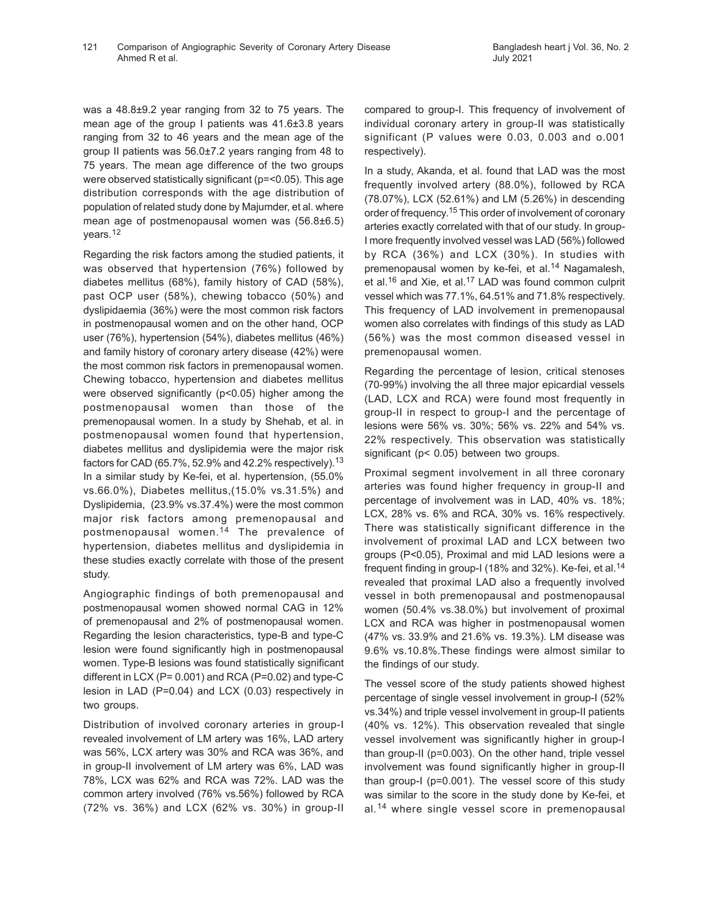was a 48.8±9.2 year ranging from 32 to 75 years. The mean age of the group I patients was 41.6±3.8 years ranging from 32 to 46 years and the mean age of the group II patients was 56.0±7.2 years ranging from 48 to 75 years. The mean age difference of the two groups were observed statistically significant (p=<0.05). This age distribution corresponds with the age distribution of population of related study done by Majumder, et al. where mean age of postmenopausal women was (56.8±6.5) years.<sup>12</sup>

Regarding the risk factors among the studied patients, it was observed that hypertension (76%) followed by diabetes mellitus (68%), family history of CAD (58%), past OCP user (58%), chewing tobacco (50%) and dyslipidaemia (36%) were the most common risk factors in postmenopausal women and on the other hand, OCP user (76%), hypertension (54%), diabetes mellitus (46%) and family history of coronary artery disease (42%) were the most common risk factors in premenopausal women. Chewing tobacco, hypertension and diabetes mellitus were observed significantly (p<0.05) higher among the postmenopausal women than those of the premenopausal women. In a study by Shehab, et al. in postmenopausal women found that hypertension, diabetes mellitus and dyslipidemia were the major risk factors for CAD (65.7%, 52.9% and 42.2% respectively).<sup>13</sup> In a similar study by Ke-fei, et al. hypertension, (55.0% vs.66.0%), Diabetes mellitus,(15.0% vs.31.5%) and Dyslipidemia, (23.9% vs.37.4%) were the most common major risk factors among premenopausal and postmenopausal women.14 The prevalence of hypertension, diabetes mellitus and dyslipidemia in these studies exactly correlate with those of the present study.

Angiographic findings of both premenopausal and postmenopausal women showed normal CAG in 12% of premenopausal and 2% of postmenopausal women. Regarding the lesion characteristics, type-B and type-C lesion were found significantly high in postmenopausal women. Type-B lesions was found statistically significant different in LCX (P= 0.001) and RCA (P=0.02) and type-C lesion in LAD (P=0.04) and LCX (0.03) respectively in two groups.

Distribution of involved coronary arteries in group-I revealed involvement of LM artery was 16%, LAD artery was 56%, LCX artery was 30% and RCA was 36%, and in group-II involvement of LM artery was 6%, LAD was 78%, LCX was 62% and RCA was 72%. LAD was the common artery involved (76% vs.56%) followed by RCA (72% vs. 36%) and LCX (62% vs. 30%) in group-II

compared to group-I. This frequency of involvement of individual coronary artery in group-II was statistically significant (P values were 0.03, 0.003 and o.001 respectively).

In a study, Akanda, et al. found that LAD was the most frequently involved artery (88.0%), followed by RCA (78.07%), LCX (52.61%) and LM (5.26%) in descending order of frequency.<sup>15</sup> This order of involvement of coronary arteries exactly correlated with that of our study. In group-I more frequently involved vessel was LAD (56%) followed by RCA (36%) and LCX (30%). In studies with premenopausal women by ke-fei, et al.<sup>14</sup> Nagamalesh, et al.<sup>16</sup> and Xie, et al.<sup>17</sup> LAD was found common culprit vessel which was 77.1%, 64.51% and 71.8% respectively. This frequency of LAD involvement in premenopausal women also correlates with findings of this study as LAD (56%) was the most common diseased vessel in premenopausal women.

Regarding the percentage of lesion, critical stenoses (70-99%) involving the all three major epicardial vessels (LAD, LCX and RCA) were found most frequently in group-II in respect to group-I and the percentage of lesions were 56% vs. 30%; 56% vs. 22% and 54% vs. 22% respectively. This observation was statistically significant (p< 0.05) between two groups.

Proximal segment involvement in all three coronary arteries was found higher frequency in group-II and percentage of involvement was in LAD, 40% vs. 18%; LCX, 28% vs. 6% and RCA, 30% vs. 16% respectively. There was statistically significant difference in the involvement of proximal LAD and LCX between two groups (P<0.05), Proximal and mid LAD lesions were a frequent finding in group-I (18% and 32%). Ke-fei, et al.<sup>14</sup> revealed that proximal LAD also a frequently involved vessel in both premenopausal and postmenopausal women (50.4% vs.38.0%) but involvement of proximal LCX and RCA was higher in postmenopausal women (47% vs. 33.9% and 21.6% vs. 19.3%). LM disease was 9.6% vs.10.8%.These findings were almost similar to the findings of our study.

The vessel score of the study patients showed highest percentage of single vessel involvement in group-I (52% vs.34%) and triple vessel involvement in group-II patients (40% vs. 12%). This observation revealed that single vessel involvement was significantly higher in group-I than group-II (p=0.003). On the other hand, triple vessel involvement was found significantly higher in group-II than group-I (p=0.001). The vessel score of this study was similar to the score in the study done by Ke-fei, et al.14 where single vessel score in premenopausal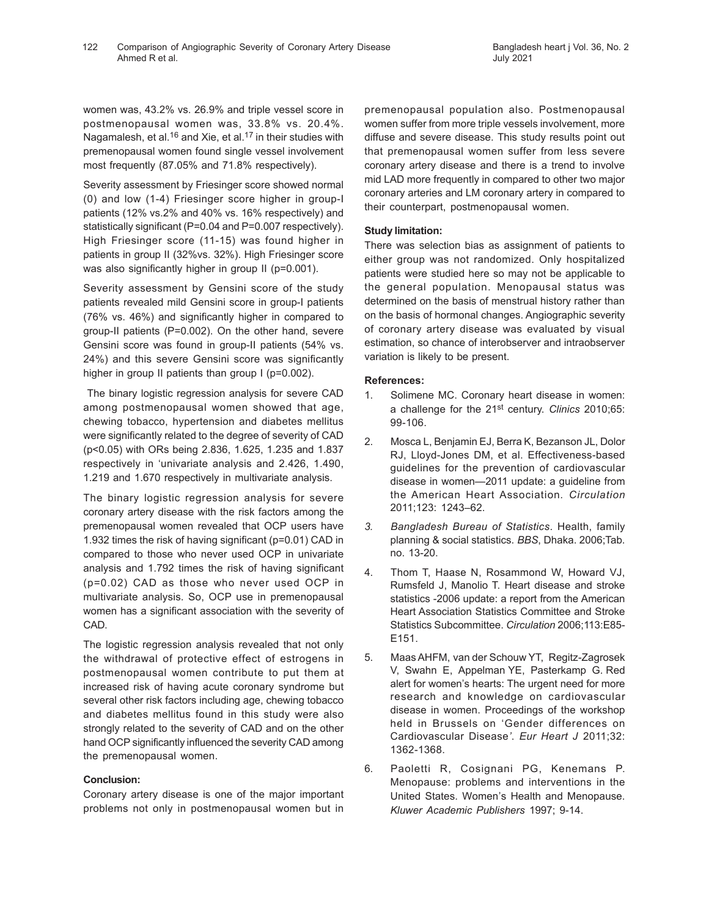women was, 43.2% vs. 26.9% and triple vessel score in postmenopausal women was, 33.8% vs. 20.4%. Nagamalesh, et al.<sup>16</sup> and Xie, et al.<sup>17</sup> in their studies with premenopausal women found single vessel involvement most frequently (87.05% and 71.8% respectively).

Severity assessment by Friesinger score showed normal (0) and low (1-4) Friesinger score higher in group-I patients (12% vs.2% and 40% vs. 16% respectively) and statistically significant (P=0.04 and P=0.007 respectively). High Friesinger score (11-15) was found higher in patients in group II (32%vs. 32%). High Friesinger score was also significantly higher in group II (p=0.001).

Severity assessment by Gensini score of the study patients revealed mild Gensini score in group-I patients (76% vs. 46%) and significantly higher in compared to group-II patients (P=0.002). On the other hand, severe Gensini score was found in group-II patients (54% vs. 24%) and this severe Gensini score was significantly higher in group II patients than group I (p=0.002).

 The binary logistic regression analysis for severe CAD among postmenopausal women showed that age, chewing tobacco, hypertension and diabetes mellitus were significantly related to the degree of severity of CAD (p<0.05) with ORs being 2.836, 1.625, 1.235 and 1.837 respectively in 'univariate analysis and 2.426, 1.490, 1.219 and 1.670 respectively in multivariate analysis.

The binary logistic regression analysis for severe coronary artery disease with the risk factors among the premenopausal women revealed that OCP users have 1.932 times the risk of having significant (p=0.01) CAD in compared to those who never used OCP in univariate analysis and 1.792 times the risk of having significant (p=0.02) CAD as those who never used OCP in multivariate analysis. So, OCP use in premenopausal women has a significant association with the severity of CAD.

The logistic regression analysis revealed that not only the withdrawal of protective effect of estrogens in postmenopausal women contribute to put them at increased risk of having acute coronary syndrome but several other risk factors including age, chewing tobacco and diabetes mellitus found in this study were also strongly related to the severity of CAD and on the other hand OCP significantly influenced the severity CAD among the premenopausal women.

# **Conclusion:**

Coronary artery disease is one of the major important problems not only in postmenopausal women but in premenopausal population also. Postmenopausal women suffer from more triple vessels involvement, more diffuse and severe disease. This study results point out that premenopausal women suffer from less severe coronary artery disease and there is a trend to involve mid LAD more frequently in compared to other two major coronary arteries and LM coronary artery in compared to their counterpart, postmenopausal women.

# **Study limitation:**

There was selection bias as assignment of patients to either group was not randomized. Only hospitalized patients were studied here so may not be applicable to the general population. Menopausal status was determined on the basis of menstrual history rather than on the basis of hormonal changes. Angiographic severity of coronary artery disease was evaluated by visual estimation, so chance of interobserver and intraobserver variation is likely to be present.

# **References:**

- 1. Solimene MC. Coronary heart disease in women: a challenge for the 21st century. *Clinics* 2010;65: 99-106.
- 2. Mosca L, Benjamin EJ, Berra K, Bezanson JL, Dolor RJ, Lloyd-Jones DM, et al. Effectiveness-based guidelines for the prevention of cardiovascular disease in women—2011 update: a guideline from the American Heart Association*. Circulation* 2011;123: 1243–62.
- *3. Bangladesh Bureau of Statistics*. Health, family planning & social statistics. *BBS*, Dhaka. 2006;Tab. no. 13-20.
- 4. Thom T, Haase N, Rosammond W, Howard VJ, Rumsfeld J, Manolio T. Heart disease and stroke statistics -2006 update: a report from the American Heart Association Statistics Committee and Stroke Statistics Subcommittee. *Circulation* 2006;113:E85- E151.
- 5. Maas AHFM, van der Schouw YT, Regitz-Zagrosek V, Swahn E, Appelman YE, Pasterkamp G. Red alert for women's hearts: The urgent need for more research and knowledge on cardiovascular disease in women. Proceedings of the workshop held in Brussels on 'Gender differences on Cardiovascular Disease*'*. *Eur Heart J* 2011;32: 1362-1368.
- 6. Paoletti R, Cosignani PG, Kenemans P. Menopause: problems and interventions in the United States. Women's Health and Menopause. *Kluwer Academic Publishers* 1997; 9-14.